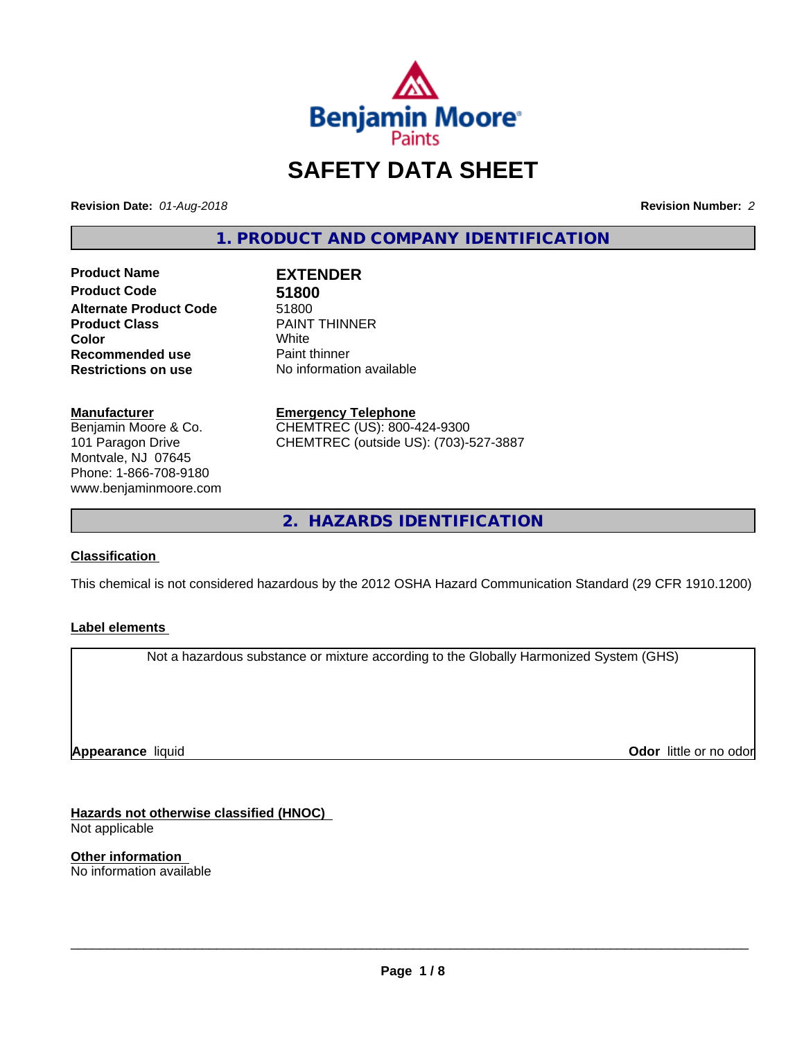

# **SAFETY DATA SHEET**

**Revision Date:** *01-Aug-2018* **Revision Number:** *2*

**1. PRODUCT AND COMPANY IDENTIFICATION**

**Product Name EXTENDER Product Code 51800 Alternate Product Code** 51800<br> **Product Class** PAINT **Recommended use The Paint thinner<br>
<b>Restrictions on use** No informatic

**PAINT THINNER Color** White White **No information available** 

**Manufacturer** Benjamin Moore & Co. 101 Paragon Drive Montvale, NJ 07645 Phone: 1-866-708-9180 www.benjaminmoore.com

**Emergency Telephone** CHEMTREC (US): 800-424-9300 CHEMTREC (outside US): (703)-527-3887

**2. HAZARDS IDENTIFICATION**

### **Classification**

This chemical is not considered hazardous by the 2012 OSHA Hazard Communication Standard (29 CFR 1910.1200)

### **Label elements**

Not a hazardous substance or mixture according to the Globally Harmonized System (GHS)

**Appearance** liquid

**Odor** little or no odor

**Hazards not otherwise classified (HNOC)** Not applicable

**Other information** No information available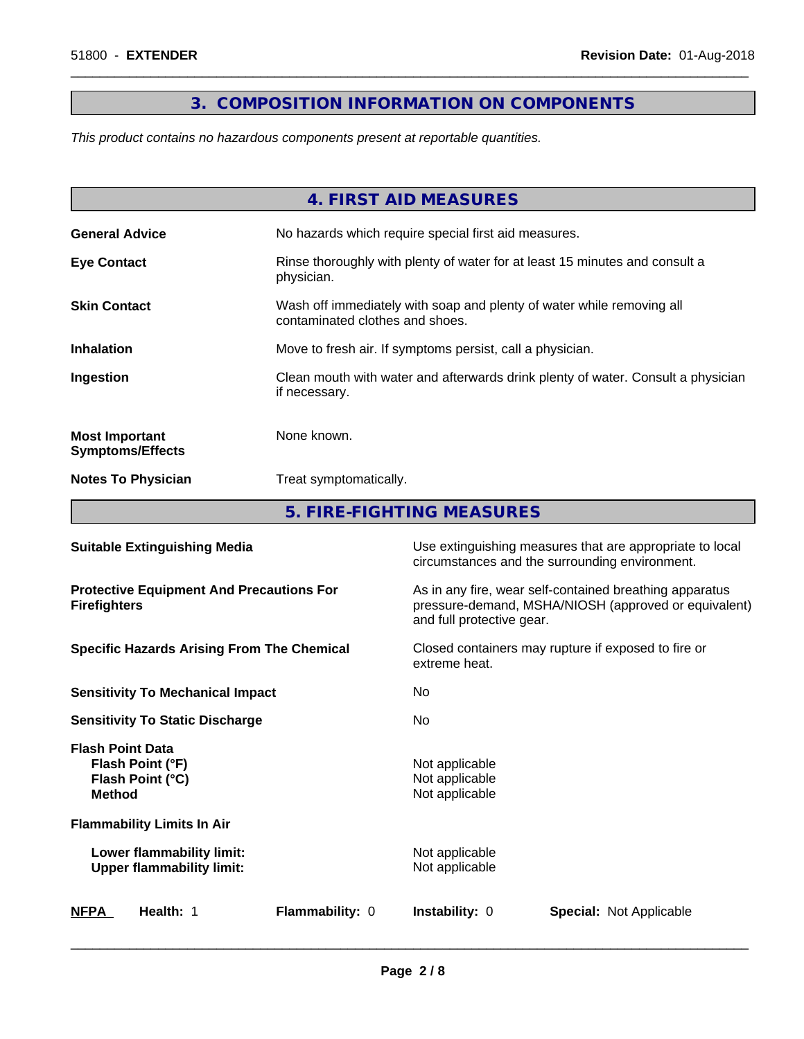# **3. COMPOSITION INFORMATION ON COMPONENTS**

 $\overline{\phantom{a}}$  ,  $\overline{\phantom{a}}$  ,  $\overline{\phantom{a}}$  ,  $\overline{\phantom{a}}$  ,  $\overline{\phantom{a}}$  ,  $\overline{\phantom{a}}$  ,  $\overline{\phantom{a}}$  ,  $\overline{\phantom{a}}$  ,  $\overline{\phantom{a}}$  ,  $\overline{\phantom{a}}$  ,  $\overline{\phantom{a}}$  ,  $\overline{\phantom{a}}$  ,  $\overline{\phantom{a}}$  ,  $\overline{\phantom{a}}$  ,  $\overline{\phantom{a}}$  ,  $\overline{\phantom{a}}$ 

*This product contains no hazardous components present at reportable quantities.*

|                                                  | 4. FIRST AID MEASURES                                                                                    |
|--------------------------------------------------|----------------------------------------------------------------------------------------------------------|
| <b>General Advice</b>                            | No hazards which require special first aid measures.                                                     |
| <b>Eye Contact</b>                               | Rinse thoroughly with plenty of water for at least 15 minutes and consult a<br>physician.                |
| <b>Skin Contact</b>                              | Wash off immediately with soap and plenty of water while removing all<br>contaminated clothes and shoes. |
| <b>Inhalation</b>                                | Move to fresh air. If symptoms persist, call a physician.                                                |
| Ingestion                                        | Clean mouth with water and afterwards drink plenty of water. Consult a physician<br>if necessary.        |
| <b>Most Important</b><br><b>Symptoms/Effects</b> | None known.                                                                                              |
| <b>Notes To Physician</b>                        | Treat symptomatically.                                                                                   |
|                                                  | 5. FIRE-FIGHTING MEASURES                                                                                |

| <b>Suitable Extinguishing Media</b>                                              | Use extinguishing measures that are appropriate to local<br>circumstances and the surrounding environment.                                   |  |  |
|----------------------------------------------------------------------------------|----------------------------------------------------------------------------------------------------------------------------------------------|--|--|
| <b>Protective Equipment And Precautions For</b><br><b>Firefighters</b>           | As in any fire, wear self-contained breathing apparatus<br>pressure-demand, MSHA/NIOSH (approved or equivalent)<br>and full protective gear. |  |  |
| <b>Specific Hazards Arising From The Chemical</b>                                | Closed containers may rupture if exposed to fire or<br>extreme heat.                                                                         |  |  |
| <b>Sensitivity To Mechanical Impact</b>                                          | No.                                                                                                                                          |  |  |
| <b>Sensitivity To Static Discharge</b>                                           | No.                                                                                                                                          |  |  |
| <b>Flash Point Data</b><br>Flash Point (°F)<br>Flash Point (°C)<br><b>Method</b> | Not applicable<br>Not applicable<br>Not applicable                                                                                           |  |  |
| <b>Flammability Limits In Air</b>                                                |                                                                                                                                              |  |  |
| Lower flammability limit:<br><b>Upper flammability limit:</b>                    | Not applicable<br>Not applicable                                                                                                             |  |  |
| <b>NFPA</b><br>Flammability: 0<br><b>Health: 1</b>                               | <b>Instability: 0</b><br><b>Special: Not Applicable</b>                                                                                      |  |  |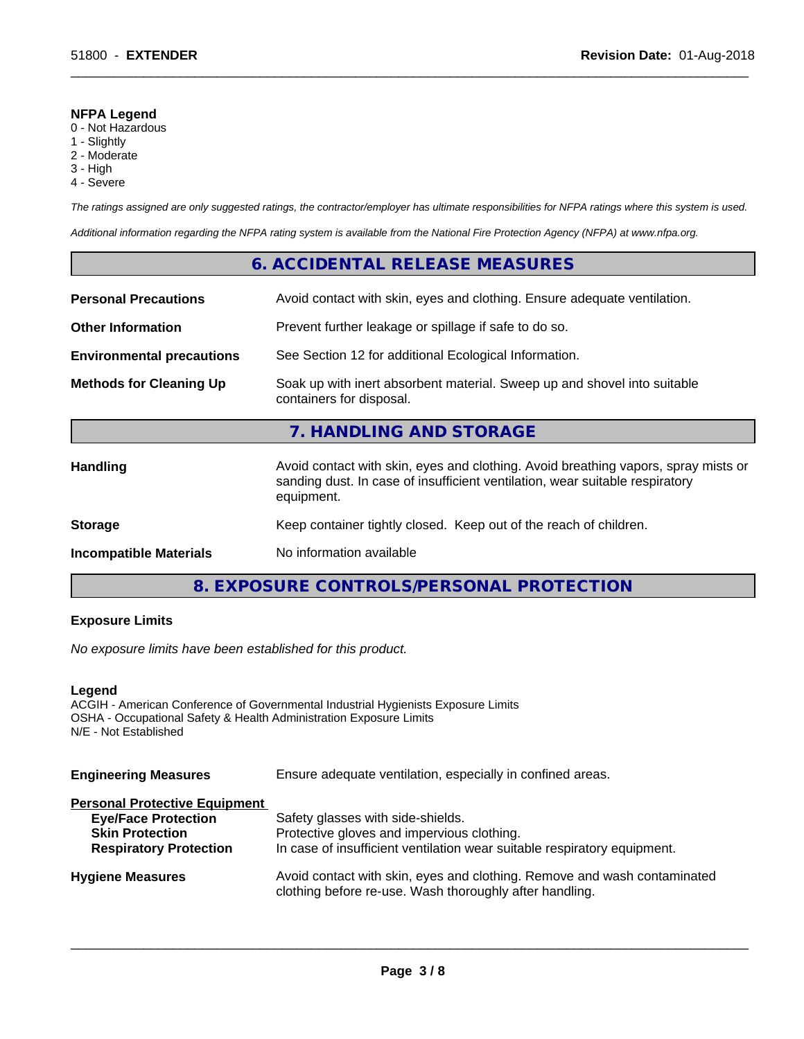#### **NFPA Legend**

- 0 Not Hazardous
- 1 Slightly
- 2 Moderate
- 3 High
- 4 Severe

*The ratings assigned are only suggested ratings, the contractor/employer has ultimate responsibilities for NFPA ratings where this system is used.*

 $\overline{\phantom{a}}$  ,  $\overline{\phantom{a}}$  ,  $\overline{\phantom{a}}$  ,  $\overline{\phantom{a}}$  ,  $\overline{\phantom{a}}$  ,  $\overline{\phantom{a}}$  ,  $\overline{\phantom{a}}$  ,  $\overline{\phantom{a}}$  ,  $\overline{\phantom{a}}$  ,  $\overline{\phantom{a}}$  ,  $\overline{\phantom{a}}$  ,  $\overline{\phantom{a}}$  ,  $\overline{\phantom{a}}$  ,  $\overline{\phantom{a}}$  ,  $\overline{\phantom{a}}$  ,  $\overline{\phantom{a}}$ 

*Additional information regarding the NFPA rating system is available from the National Fire Protection Agency (NFPA) at www.nfpa.org.*

# **6. ACCIDENTAL RELEASE MEASURES**

| <b>Personal Precautions</b>      | Avoid contact with skin, eyes and clothing. Ensure adequate ventilation.                                                                                                         |  |  |
|----------------------------------|----------------------------------------------------------------------------------------------------------------------------------------------------------------------------------|--|--|
| <b>Other Information</b>         | Prevent further leakage or spillage if safe to do so.                                                                                                                            |  |  |
| <b>Environmental precautions</b> | See Section 12 for additional Ecological Information.                                                                                                                            |  |  |
| <b>Methods for Cleaning Up</b>   | Soak up with inert absorbent material. Sweep up and shovel into suitable<br>containers for disposal.                                                                             |  |  |
|                                  |                                                                                                                                                                                  |  |  |
|                                  | 7. HANDLING AND STORAGE                                                                                                                                                          |  |  |
| <b>Handling</b>                  | Avoid contact with skin, eyes and clothing. Avoid breathing vapors, spray mists or<br>sanding dust. In case of insufficient ventilation, wear suitable respiratory<br>equipment. |  |  |
| <b>Storage</b>                   | Keep container tightly closed. Keep out of the reach of children.                                                                                                                |  |  |

# **8. EXPOSURE CONTROLS/PERSONAL PROTECTION**

# **Exposure Limits**

*No exposure limits have been established for this product.*

#### **Legend**

ACGIH - American Conference of Governmental Industrial Hygienists Exposure Limits OSHA - Occupational Safety & Health Administration Exposure Limits N/E - Not Established

| <b>Engineering Measures</b> | Ensure adequate ventilation, especially in confined areas. |  |
|-----------------------------|------------------------------------------------------------|--|
|-----------------------------|------------------------------------------------------------|--|

### **Personal Protective Equipment**

| <b>Eye/Face Protection</b>    | Safety glasses with side-shields.                                        |
|-------------------------------|--------------------------------------------------------------------------|
| <b>Skin Protection</b>        | Protective gloves and impervious clothing.                               |
| <b>Respiratory Protection</b> | In case of insufficient ventilation wear suitable respiratory equipment. |
| <b>Hygiene Measures</b>       | Avoid contact with skin, eyes and clothing. Remove and wash contaminated |
|                               | clothing before re-use. Wash thoroughly after handling.                  |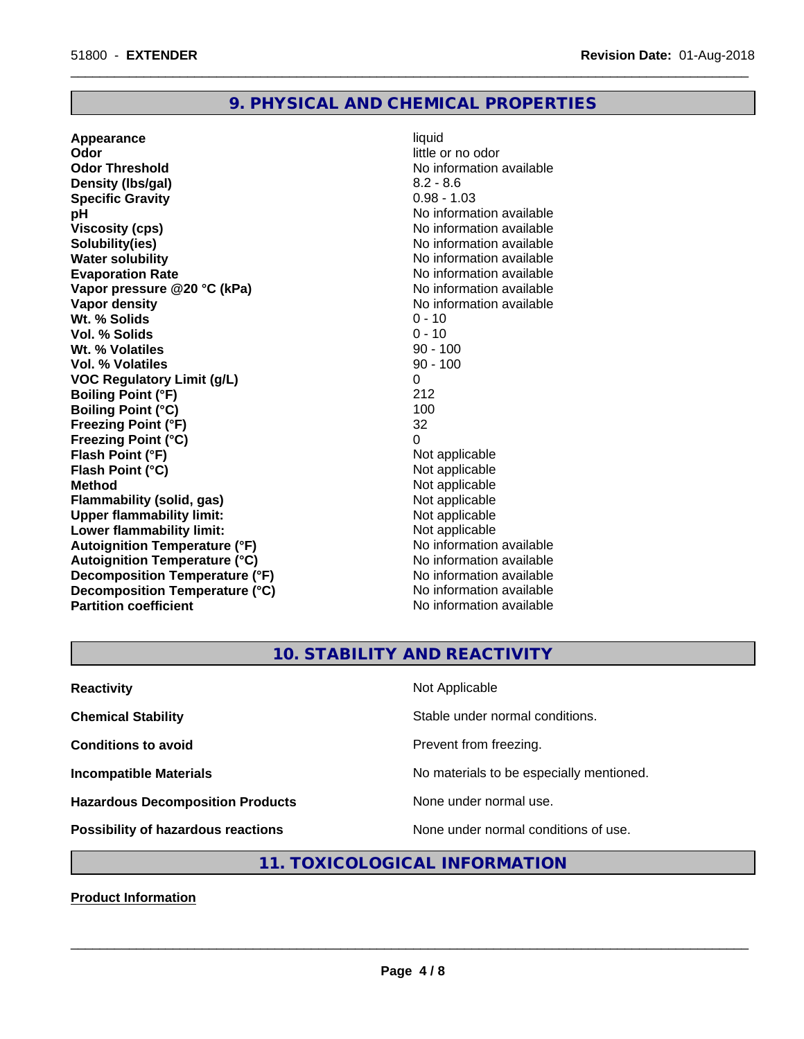# **9. PHYSICAL AND CHEMICAL PROPERTIES**

**Appearance** liquid **Odor** little or no odor **Odor Threshold No information available No information available Density (lbs/gal)** 8.2 - 8.6 **Specific Gravity** 0.98 - 1.03 **pH** No information available **Viscosity (cps)** No information available in the Viscosity (cps) **Solubility(ies)** No information available **Water solubility Water solubility Water solubility Water solubility Water solubility Water solution Evaporation Rate Conservation Rate** No information available<br> **Vapor pressure @20 °C (kPa)** No information available **Vapor** pressure @20 °C (kPa) **Vapor density Vapor density No information available Wt.** % Solids 0 - 10 **Vol. % Solids** 0 - 10 **Wt. % Volatiles** 90 - 100 **Vol. % Volatiles** 90 - 100 **VOC Regulatory Limit (g/L)** 0 **Boiling Point (°F)** 212 **Boiling Point (°C)** 100 **Freezing Point (°F)** 32 **Freezing Point (°C)**<br> **Flash Point (°F)**<br> **Flash Point (°F)**<br> **Point (°F) Flash Point (°F)**<br> **Flash Point (°C)**<br> **Flash Point (°C)**<br> **Not** applicable **Flash Point (°C) Method** Not applicable<br> **Flammability (solid, gas)** Not applicable Not applicable **Flammability (solid, gas)**<br> **Upper flammability limit:**<br>
Upper flammability limit: **Upper flammability limit: Lower flammability limit:**<br> **Autoignition Temperature (°F)** Not applicable Not applicable **Autoignition Temperature (°F)**<br> **Autoignition Temperature (°C)** No information available **Autoignition Temperature (°C) Decomposition Temperature (°F)**<br> **Decomposition Temperature (°C)** No information available **Decomposition Temperature (°C)**<br>Partition coefficient

**No information available** 

 $\overline{\phantom{a}}$  ,  $\overline{\phantom{a}}$  ,  $\overline{\phantom{a}}$  ,  $\overline{\phantom{a}}$  ,  $\overline{\phantom{a}}$  ,  $\overline{\phantom{a}}$  ,  $\overline{\phantom{a}}$  ,  $\overline{\phantom{a}}$  ,  $\overline{\phantom{a}}$  ,  $\overline{\phantom{a}}$  ,  $\overline{\phantom{a}}$  ,  $\overline{\phantom{a}}$  ,  $\overline{\phantom{a}}$  ,  $\overline{\phantom{a}}$  ,  $\overline{\phantom{a}}$  ,  $\overline{\phantom{a}}$ 

# **10. STABILITY AND REACTIVITY**

| <b>Reactivity</b>                         | Not Applicable                           |
|-------------------------------------------|------------------------------------------|
| <b>Chemical Stability</b>                 | Stable under normal conditions.          |
| <b>Conditions to avoid</b>                | Prevent from freezing.                   |
| <b>Incompatible Materials</b>             | No materials to be especially mentioned. |
| <b>Hazardous Decomposition Products</b>   | None under normal use.                   |
| <b>Possibility of hazardous reactions</b> | None under normal conditions of use.     |

# **11. TOXICOLOGICAL INFORMATION**

**Product Information**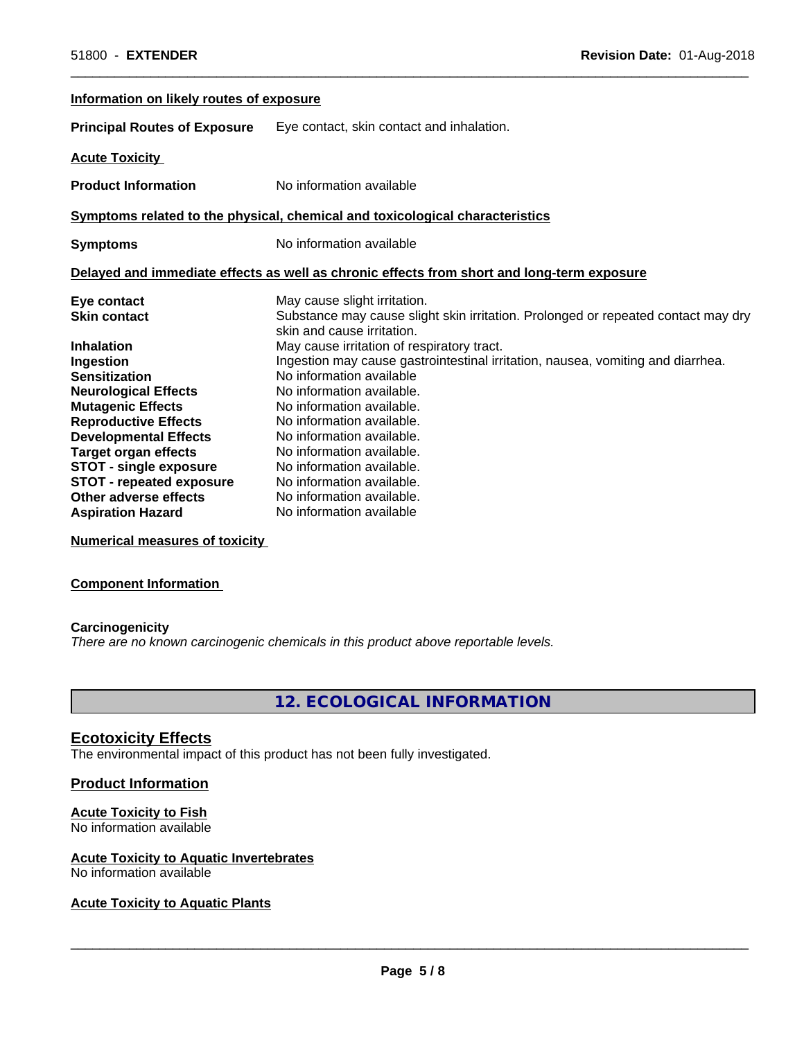| Information on likely routes of exposure |                                                                                                                 |
|------------------------------------------|-----------------------------------------------------------------------------------------------------------------|
| <b>Principal Routes of Exposure</b>      | Eye contact, skin contact and inhalation.                                                                       |
| <b>Acute Toxicity</b>                    |                                                                                                                 |
| <b>Product Information</b>               | No information available                                                                                        |
|                                          | Symptoms related to the physical, chemical and toxicological characteristics                                    |
| <b>Symptoms</b>                          | No information available                                                                                        |
|                                          | Delayed and immediate effects as well as chronic effects from short and long-term exposure                      |
| Eye contact                              | May cause slight irritation.                                                                                    |
| <b>Skin contact</b>                      | Substance may cause slight skin irritation. Prolonged or repeated contact may dry<br>skin and cause irritation. |
| <b>Inhalation</b>                        | May cause irritation of respiratory tract.                                                                      |
| Ingestion                                | Ingestion may cause gastrointestinal irritation, nausea, vomiting and diarrhea.                                 |
| <b>Sensitization</b>                     | No information available                                                                                        |
| <b>Neurological Effects</b>              | No information available.                                                                                       |
| <b>Mutagenic Effects</b>                 | No information available.                                                                                       |
| <b>Reproductive Effects</b>              | No information available.                                                                                       |
| <b>Developmental Effects</b>             | No information available.                                                                                       |
| <b>Target organ effects</b>              | No information available.                                                                                       |
| STOT - single exposure                   | No information available.                                                                                       |
| <b>STOT - repeated exposure</b>          | No information available.                                                                                       |
| Other adverse effects                    | No information available.                                                                                       |
| <b>Aspiration Hazard</b>                 | No information available                                                                                        |

 $\overline{\phantom{a}}$  ,  $\overline{\phantom{a}}$  ,  $\overline{\phantom{a}}$  ,  $\overline{\phantom{a}}$  ,  $\overline{\phantom{a}}$  ,  $\overline{\phantom{a}}$  ,  $\overline{\phantom{a}}$  ,  $\overline{\phantom{a}}$  ,  $\overline{\phantom{a}}$  ,  $\overline{\phantom{a}}$  ,  $\overline{\phantom{a}}$  ,  $\overline{\phantom{a}}$  ,  $\overline{\phantom{a}}$  ,  $\overline{\phantom{a}}$  ,  $\overline{\phantom{a}}$  ,  $\overline{\phantom{a}}$ 

**Numerical measures of toxicity**

#### **Component Information**

#### **Carcinogenicity**

*There are no known carcinogenic chemicals in this product above reportable levels.*

# **12. ECOLOGICAL INFORMATION**

#### **Ecotoxicity Effects**

The environmental impact of this product has not been fully investigated.

#### **Product Information**

#### **Acute Toxicity to Fish**

No information available

# **Acute Toxicity to Aquatic Invertebrates**

No information available

#### **Acute Toxicity to Aquatic Plants**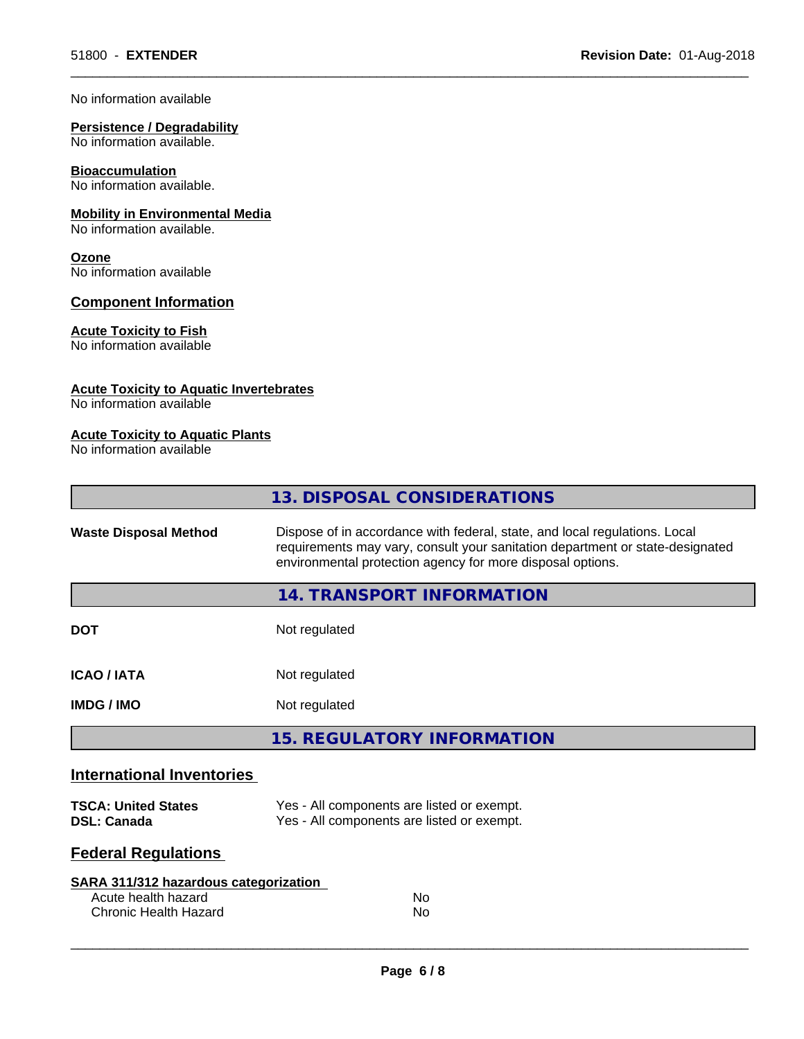#### No information available

# **Persistence / Degradability**

No information available.

# **Bioaccumulation**

No information available.

# **Mobility in Environmental Media**

No information available.

#### **Ozone** No information available

**Component Information**

# **Acute Toxicity to Fish**

No information available

### **Acute Toxicity to Aquatic Invertebrates**

No information available

#### **Acute Toxicity to Aquatic Plants**

No information available

|                                                  | 13. DISPOSAL CONSIDERATIONS                                                                                                                                                                                               |  |
|--------------------------------------------------|---------------------------------------------------------------------------------------------------------------------------------------------------------------------------------------------------------------------------|--|
| <b>Waste Disposal Method</b>                     | Dispose of in accordance with federal, state, and local regulations. Local<br>requirements may vary, consult your sanitation department or state-designated<br>environmental protection agency for more disposal options. |  |
|                                                  | 14. TRANSPORT INFORMATION                                                                                                                                                                                                 |  |
| <b>DOT</b>                                       | Not regulated                                                                                                                                                                                                             |  |
| <b>ICAO / IATA</b>                               | Not regulated                                                                                                                                                                                                             |  |
| <b>IMDG / IMO</b>                                | Not regulated                                                                                                                                                                                                             |  |
|                                                  | <b>15. REGULATORY INFORMATION</b>                                                                                                                                                                                         |  |
| <b>International Inventories</b>                 |                                                                                                                                                                                                                           |  |
| <b>TSCA: United States</b><br><b>DSL: Canada</b> | Yes - All components are listed or exempt.<br>Yes - All components are listed or exempt.                                                                                                                                  |  |

 $\overline{\phantom{a}}$  ,  $\overline{\phantom{a}}$  ,  $\overline{\phantom{a}}$  ,  $\overline{\phantom{a}}$  ,  $\overline{\phantom{a}}$  ,  $\overline{\phantom{a}}$  ,  $\overline{\phantom{a}}$  ,  $\overline{\phantom{a}}$  ,  $\overline{\phantom{a}}$  ,  $\overline{\phantom{a}}$  ,  $\overline{\phantom{a}}$  ,  $\overline{\phantom{a}}$  ,  $\overline{\phantom{a}}$  ,  $\overline{\phantom{a}}$  ,  $\overline{\phantom{a}}$  ,  $\overline{\phantom{a}}$ 

# **Federal Regulations**

| SARA 311/312 hazardous categorization |     |  |
|---------------------------------------|-----|--|
| Acute health hazard                   | No. |  |
| Chronic Health Hazard                 | Nο  |  |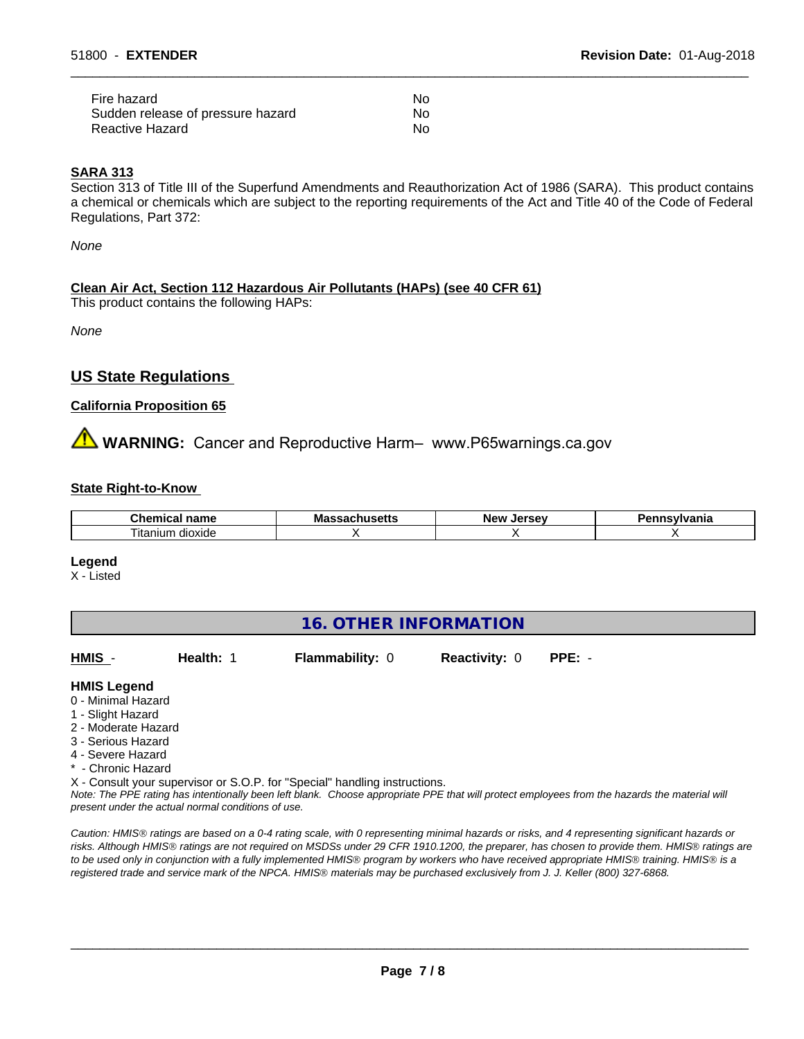| Fire hazard                       | No. |
|-----------------------------------|-----|
| Sudden release of pressure hazard | No. |
| Reactive Hazard                   | No  |

#### **SARA 313**

Section 313 of Title III of the Superfund Amendments and Reauthorization Act of 1986 (SARA). This product contains a chemical or chemicals which are subject to the reporting requirements of the Act and Title 40 of the Code of Federal Regulations, Part 372:

 $\overline{\phantom{a}}$  ,  $\overline{\phantom{a}}$  ,  $\overline{\phantom{a}}$  ,  $\overline{\phantom{a}}$  ,  $\overline{\phantom{a}}$  ,  $\overline{\phantom{a}}$  ,  $\overline{\phantom{a}}$  ,  $\overline{\phantom{a}}$  ,  $\overline{\phantom{a}}$  ,  $\overline{\phantom{a}}$  ,  $\overline{\phantom{a}}$  ,  $\overline{\phantom{a}}$  ,  $\overline{\phantom{a}}$  ,  $\overline{\phantom{a}}$  ,  $\overline{\phantom{a}}$  ,  $\overline{\phantom{a}}$ 

*None*

#### **Clean Air Act,Section 112 Hazardous Air Pollutants (HAPs) (see 40 CFR 61)**

This product contains the following HAPs:

*None*

# **US State Regulations**

#### **California Proposition 65**

# **AN** WARNING: Cancer and Reproductive Harm– www.P65warnings.ca.gov

#### **State Right-to-Know**

| .:hem<br>name                     | IVI a<br>---<br>. | loreou<br>Ne)<br><br>- - | anıa |
|-----------------------------------|-------------------|--------------------------|------|
| --<br><br>ıun<br>dioxide<br>ıtanı |                   |                          |      |

#### **Legend**

X - Listed

# **16. OTHER INFORMATION**

| HMIS | <b>Health: 1</b> | <b>Flammability: 0</b> | <b>Reactivity: 0</b> | PPE: - |
|------|------------------|------------------------|----------------------|--------|
|      |                  |                        |                      |        |

#### **HMIS Legend**

- 0 Minimal Hazard
- 1 Slight Hazard
- 2 Moderate Hazard
- 3 Serious Hazard
- 4 Severe Hazard
- \* Chronic Hazard

X - Consult your supervisor or S.O.P. for "Special" handling instructions.

*Note: The PPE rating has intentionally been left blank. Choose appropriate PPE that will protect employees from the hazards the material will present under the actual normal conditions of use.*

*Caution: HMISÒ ratings are based on a 0-4 rating scale, with 0 representing minimal hazards or risks, and 4 representing significant hazards or risks. Although HMISÒ ratings are not required on MSDSs under 29 CFR 1910.1200, the preparer, has chosen to provide them. HMISÒ ratings are to be used only in conjunction with a fully implemented HMISÒ program by workers who have received appropriate HMISÒ training. HMISÒ is a registered trade and service mark of the NPCA. HMISÒ materials may be purchased exclusively from J. J. Keller (800) 327-6868.*